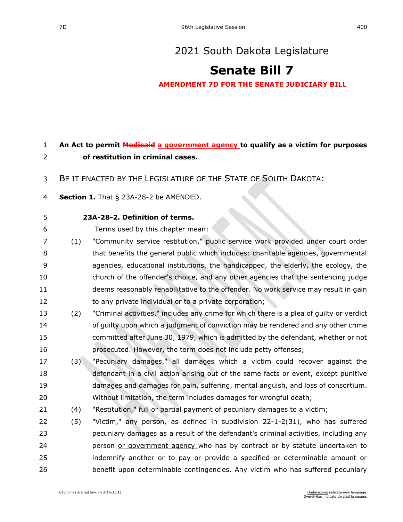## [2021 South Dakota Legislature](https://sdlegislature.gov/Session/Bills/44)

## **[Senate Bill 7](https://sdlegislature.gov/Session/Bill/21880)**

**AMENDMENT 7D FOR THE SENATE JUDICIARY BILL**

## **An Act to permit Medicaid a government agency to qualify as a victim for purposes of restitution in criminal cases.**

BE IT ENACTED BY THE LEGISLATURE OF THE STATE OF SOUTH DAKOTA:

- **Section 1.** [That § 23A-28-2 be AMENDED.](https://sdlegislature.gov/Statutes/Codified_Laws/DisplayStatute.aspx?Type=Statute&Statute=23A-28-2)
- **[23A-28-2. D](https://sdlegislature.gov/Statutes/Codified_Laws/DisplayStatute.aspx?Type=Statute&Statute=23A-28-2)efinition of terms.**

Terms used by this chapter mean:

- (1) "Community service restitution," public service work provided under court order that benefits the general public which includes: charitable agencies, governmental agencies, educational institutions, the handicapped, the elderly, the ecology, the church of the offender's choice, and any other agencies that the sentencing judge deems reasonably rehabilitative to the offender. No work service may result in gain to any private individual or to a private corporation;
- (2) "Criminal activities," includes any crime for which there is a plea of guilty or verdict of guilty upon which a judgment of conviction may be rendered and any other crime committed after June 30, 1979, which is admitted by the defendant, whether or not prosecuted. However, the term does not include petty offenses;
- (3) "Pecuniary damages," all damages which a victim could recover against the defendant in a civil action arising out of the same facts or event, except punitive damages and damages for pain, suffering, mental anguish, and loss of consortium. Without limitation, the term includes damages for wrongful death;
- (4) "Restitution," full or partial payment of pecuniary damages to a victim;
- (5) "Victim," any person, as defined in subdivision [22-1-2\(](https://sdlegislature.gov/Statutes/Codified_Laws/DisplayStatute.aspx?Type=Statute&Statute=22-1-2)31), who has suffered pecuniary damages as a result of the defendant's criminal activities, including any 24 person or government agency who has by contract or by statute undertaken to indemnify another or to pay or provide a specified or determinable amount or benefit upon determinable contingencies. Any victim who has suffered pecuniary